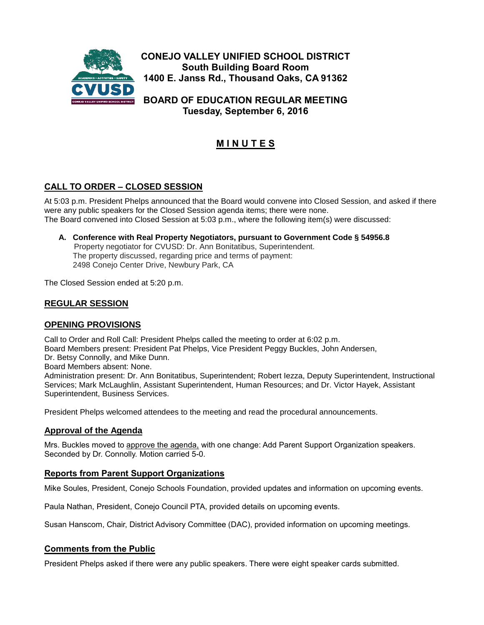

**Tuesday, September 6, 2016**

# **M I N U T E S**

## **CALL TO ORDER – CLOSED SESSION**

At 5:03 p.m. President Phelps announced that the Board would convene into Closed Session, and asked if there were any public speakers for the Closed Session agenda items; there were none. The Board convened into Closed Session at 5:03 p.m., where the following item(s) were discussed:

**A. Conference with Real Property Negotiators, pursuant to Government Code § 54956.8**  Property negotiator for CVUSD: Dr. Ann Bonitatibus, Superintendent. The property discussed, regarding price and terms of payment: 2498 Conejo Center Drive, Newbury Park, CA

The Closed Session ended at 5:20 p.m.

## **REGULAR SESSION**

## **OPENING PROVISIONS**

Call to Order and Roll Call: President Phelps called the meeting to order at 6:02 p.m. Board Members present: President Pat Phelps, Vice President Peggy Buckles, John Andersen, Dr. Betsy Connolly, and Mike Dunn. Board Members absent: None. Administration present: Dr. Ann Bonitatibus, Superintendent; Robert Iezza, Deputy Superintendent, Instructional Services; Mark McLaughlin, Assistant Superintendent, Human Resources; and Dr. Victor Hayek, Assistant Superintendent, Business Services.

President Phelps welcomed attendees to the meeting and read the procedural announcements.

#### **Approval of the Agenda**

Mrs. Buckles moved to approve the agenda, with one change: Add Parent Support Organization speakers. Seconded by Dr. Connolly. Motion carried 5-0.

#### **Reports from Parent Support Organizations**

Mike Soules, President, Conejo Schools Foundation, provided updates and information on upcoming events.

Paula Nathan, President, Conejo Council PTA, provided details on upcoming events.

Susan Hanscom, Chair, District Advisory Committee (DAC), provided information on upcoming meetings.

## **Comments from the Public**

President Phelps asked if there were any public speakers. There were eight speaker cards submitted.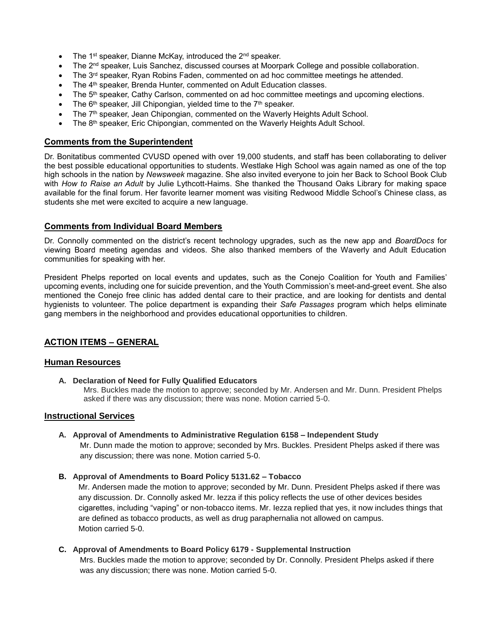- The 1<sup>st</sup> speaker, Dianne McKay, introduced the  $2^{nd}$  speaker.
- The 2<sup>nd</sup> speaker, Luis Sanchez, discussed courses at Moorpark College and possible collaboration.
- The 3<sup>rd</sup> speaker, Ryan Robins Faden, commented on ad hoc committee meetings he attended.
- The 4<sup>th</sup> speaker, Brenda Hunter, commented on Adult Education classes.
- The 5<sup>th</sup> speaker, Cathy Carlson, commented on ad hoc committee meetings and upcoming elections.
- The 6<sup>th</sup> speaker, Jill Chipongian, yielded time to the 7<sup>th</sup> speaker.
- The 7<sup>th</sup> speaker, Jean Chipongian, commented on the Waverly Heights Adult School.
- The 8th speaker, Eric Chipongian, commented on the Waverly Heights Adult School.

## **Comments from the Superintendent**

Dr. Bonitatibus commented CVUSD opened with over 19,000 students, and staff has been collaborating to deliver the best possible educational opportunities to students. Westlake High School was again named as one of the top high schools in the nation by *Newsweek* magazine. She also invited everyone to join her Back to School Book Club with *How to Raise an Adult* by Julie Lythcott-Haims. She thanked the Thousand Oaks Library for making space available for the final forum. Her favorite learner moment was visiting Redwood Middle School's Chinese class, as students she met were excited to acquire a new language.

## **Comments from Individual Board Members**

Dr. Connolly commented on the district's recent technology upgrades, such as the new app and *BoardDocs* for viewing Board meeting agendas and videos. She also thanked members of the Waverly and Adult Education communities for speaking with her.

President Phelps reported on local events and updates, such as the Conejo Coalition for Youth and Families' upcoming events, including one for suicide prevention, and the Youth Commission's meet-and-greet event. She also mentioned the Conejo free clinic has added dental care to their practice, and are looking for dentists and dental hygienists to volunteer. The police department is expanding their *Safe Passages* program which helps eliminate gang members in the neighborhood and provides educational opportunities to children.

## **ACTION ITEMS – GENERAL**

#### **Human Resources**

**A. Declaration of Need for Fully Qualified Educators**

Mrs. Buckles made the motion to approve; seconded by Mr. Andersen and Mr. Dunn. President Phelps asked if there was any discussion; there was none. Motion carried 5-0.

#### **Instructional Services**

#### **A. Approval of Amendments to Administrative Regulation 6158 – Independent Study**

Mr. Dunn made the motion to approve; seconded by Mrs. Buckles. President Phelps asked if there was any discussion; there was none. Motion carried 5-0.

#### **B. Approval of Amendments to Board Policy 5131.62 – Tobacco**

Mr. Andersen made the motion to approve; seconded by Mr. Dunn. President Phelps asked if there was any discussion. Dr. Connolly asked Mr. Iezza if this policy reflects the use of other devices besides cigarettes, including "vaping" or non-tobacco items. Mr. Iezza replied that yes, it now includes things that are defined as tobacco products, as well as drug paraphernalia not allowed on campus. Motion carried 5-0.

#### **C. Approval of Amendments to Board Policy 6179 - Supplemental Instruction**

Mrs. Buckles made the motion to approve; seconded by Dr. Connolly. President Phelps asked if there was any discussion; there was none. Motion carried 5-0.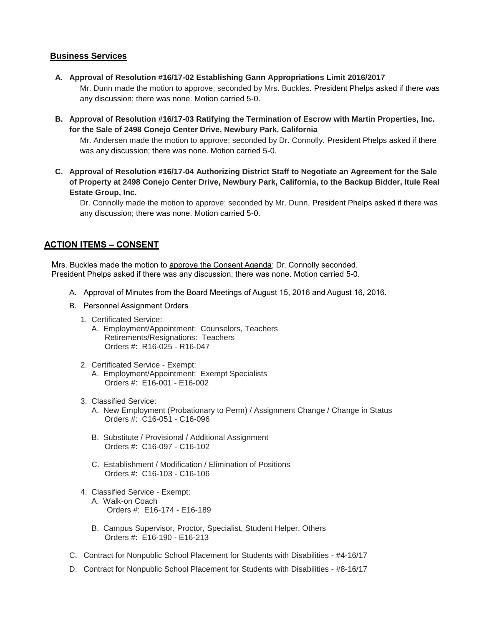## **Business Services**

- **A. Approval of Resolution #16/17-02 Establishing Gann Appropriations Limit 2016/2017**
	- Mr. Dunn made the motion to approve; seconded by Mrs. Buckles. President Phelps asked if there was any discussion; there was none. Motion carried 5-0.
- **B. Approval of Resolution #16/17-03 Ratifying the Termination of Escrow with Martin Properties, Inc. for the Sale of 2498 Conejo Center Drive, Newbury Park, California**

Mr. Andersen made the motion to approve; seconded by Dr. Connolly. President Phelps asked if there was any discussion; there was none. Motion carried 5-0.

**C. Approval of Resolution #16/17-04 Authorizing District Staff to Negotiate an Agreement for the Sale of Property at 2498 Conejo Center Drive, Newbury Park, California, to the Backup Bidder, Itule Real Estate Group, Inc.** 

Dr. Connolly made the motion to approve; seconded by Mr. Dunn. President Phelps asked if there was any discussion; there was none. Motion carried 5-0.

## **ACTION ITEMS – CONSENT**

Mrs. Buckles made the motion to approve the Consent Agenda; Dr. Connolly seconded. President Phelps asked if there was any discussion; there was none. Motion carried 5-0.

- A. Approval of Minutes from the Board Meetings of August 15, 2016 and August 16, 2016.
- B. Personnel Assignment Orders
	- 1. Certificated Service:
		- A. Employment/Appointment: Counselors, Teachers Retirements/Resignations: Teachers Orders #: R16-025 - R16-047
	- 2. Certificated Service Exempt: A. Employment/Appointment: Exempt Specialists Orders #: E16-001 - E16-002
	- 3. Classified Service:
		- A. New Employment (Probationary to Perm) / Assignment Change / Change in Status Orders #: C16-051 - C16-096
		- B. Substitute / Provisional / Additional Assignment Orders #: C16-097 - C16-102
		- C. Establishment / Modification / Elimination of Positions Orders #: C16-103 - C16-106
	- 4. Classified Service Exempt: A. Walk-on Coach Orders #: E16-174 - E16-189
		- B. Campus Supervisor, Proctor, Specialist, Student Helper, Others Orders #: E16-190 - E16-213
- C. Contract for Nonpublic School Placement for Students with Disabilities #4-16/17
- D. Contract for Nonpublic School Placement for Students with Disabilities #8-16/17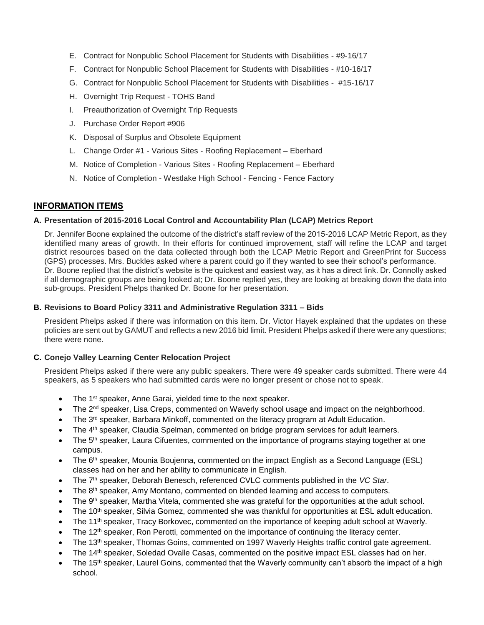- E. Contract for Nonpublic School Placement for Students with Disabilities #9-16/17
- F. Contract for Nonpublic School Placement for Students with Disabilities #10-16/17
- G. Contract for Nonpublic School Placement for Students with Disabilities #15-16/17
- H. Overnight Trip Request TOHS Band
- I. Preauthorization of Overnight Trip Requests
- J. Purchase Order Report #906
- K. Disposal of Surplus and Obsolete Equipment
- L. Change Order #1 Various Sites Roofing Replacement Eberhard
- M. Notice of Completion Various Sites Roofing Replacement Eberhard
- N. Notice of Completion Westlake High School Fencing Fence Factory

#### **INFORMATION ITEMS**

#### **A. Presentation of 2015-2016 Local Control and Accountability Plan (LCAP) Metrics Report**

Dr. Jennifer Boone explained the outcome of the district's staff review of the 2015-2016 LCAP Metric Report, as they identified many areas of growth. In their efforts for continued improvement, staff will refine the LCAP and target district resources based on the data collected through both the LCAP Metric Report and GreenPrint for Success (GPS) processes. Mrs. Buckles asked where a parent could go if they wanted to see their school's performance. Dr. Boone replied that the district's website is the quickest and easiest way, as it has a direct link. Dr. Connolly asked if all demographic groups are being looked at; Dr. Boone replied yes, they are looking at breaking down the data into sub-groups. President Phelps thanked Dr. Boone for her presentation.

#### **B. Revisions to Board Policy 3311 and Administrative Regulation 3311 – Bids**

President Phelps asked if there was information on this item. Dr. Victor Hayek explained that the updates on these policies are sent out by GAMUT and reflects a new 2016 bid limit. President Phelps asked if there were any questions; there were none.

#### **C. Conejo Valley Learning Center Relocation Project**

President Phelps asked if there were any public speakers. There were 49 speaker cards submitted. There were 44 speakers, as 5 speakers who had submitted cards were no longer present or chose not to speak.

- The 1<sup>st</sup> speaker, Anne Garai, yielded time to the next speaker.
- The 2<sup>nd</sup> speaker, Lisa Creps, commented on Waverly school usage and impact on the neighborhood.
- The 3<sup>rd</sup> speaker, Barbara Minkoff, commented on the literacy program at Adult Education.
- The 4<sup>th</sup> speaker, Claudia Spelman, commented on bridge program services for adult learners.
- The 5<sup>th</sup> speaker, Laura Cifuentes, commented on the importance of programs staying together at one campus.
- The 6<sup>th</sup> speaker, Mounia Boujenna, commented on the impact English as a Second Language (ESL) classes had on her and her ability to communicate in English.
- The 7<sup>th</sup> speaker, Deborah Benesch, referenced CVLC comments published in the *VC Star.*
- The  $8<sup>th</sup>$  speaker, Amy Montano, commented on blended learning and access to computers.
- The 9<sup>th</sup> speaker, Martha Vitela, commented she was grateful for the opportunities at the adult school.
- The 10<sup>th</sup> speaker, Silvia Gomez, commented she was thankful for opportunities at ESL adult education.
- The 11<sup>th</sup> speaker, Tracy Borkovec, commented on the importance of keeping adult school at Waverly.
- The 12<sup>th</sup> speaker, Ron Perotti, commented on the importance of continuing the literacy center.
- The 13<sup>th</sup> speaker, Thomas Goins, commented on 1997 Waverly Heights traffic control gate agreement.
- The 14th speaker, Soledad Ovalle Casas, commented on the positive impact ESL classes had on her.
- The 15<sup>th</sup> speaker, Laurel Goins, commented that the Waverly community can't absorb the impact of a high school.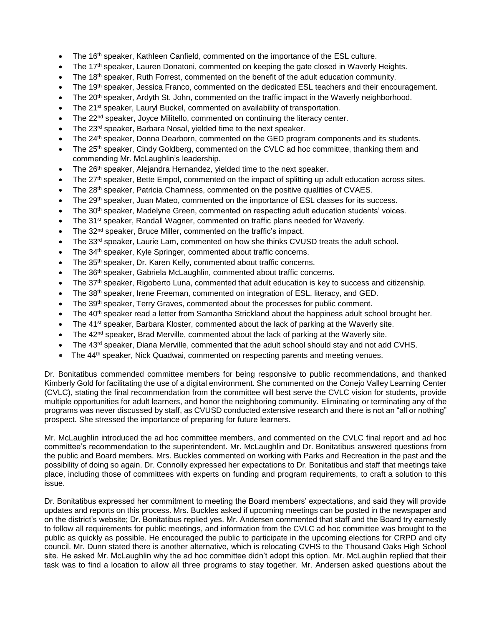- The 16<sup>th</sup> speaker, Kathleen Canfield, commented on the importance of the ESL culture.
- The 17<sup>th</sup> speaker, Lauren Donatoni, commented on keeping the gate closed in Waverly Heights.
- The 18<sup>th</sup> speaker, Ruth Forrest, commented on the benefit of the adult education community.
- The 19<sup>th</sup> speaker, Jessica Franco, commented on the dedicated ESL teachers and their encouragement.
- The 20<sup>th</sup> speaker, Ardyth St. John, commented on the traffic impact in the Waverly neighborhood.
- The 21<sup>st</sup> speaker, Lauryl Buckel, commented on availability of transportation.
- The 22<sup>nd</sup> speaker, Joyce Militello, commented on continuing the literacy center.
- The 23rd speaker, Barbara Nosal, yielded time to the next speaker.
- The 24<sup>th</sup> speaker, Donna Dearborn, commented on the GED program components and its students.
- The 25<sup>th</sup> speaker, Cindy Goldberg, commented on the CVLC ad hoc committee, thanking them and commending Mr. McLaughlin's leadership.
- The 26<sup>th</sup> speaker, Alejandra Hernandez, yielded time to the next speaker.
- The 27<sup>th</sup> speaker, Bette Empol, commented on the impact of splitting up adult education across sites.
- The 28th speaker, Patricia Chamness, commented on the positive qualities of CVAES.
- The 29<sup>th</sup> speaker, Juan Mateo, commented on the importance of ESL classes for its success.
- The 30<sup>th</sup> speaker, Madelyne Green, commented on respecting adult education students' voices.
- The 31<sup>st</sup> speaker, Randall Wagner, commented on traffic plans needed for Waverly.
- The 32nd speaker, Bruce Miller, commented on the traffic's impact.
- The 33rd speaker, Laurie Lam, commented on how she thinks CVUSD treats the adult school.
- The 34th speaker, Kyle Springer, commented about traffic concerns.
- The 35th speaker, Dr. Karen Kelly, commented about traffic concerns.
- The 36th speaker, Gabriela McLaughlin, commented about traffic concerns.
- The 37th speaker, Rigoberto Luna, commented that adult education is key to success and citizenship.
- The 38<sup>th</sup> speaker, Irene Freeman, commented on integration of ESL, literacy, and GED.
- The 39<sup>th</sup> speaker, Terry Graves, commented about the processes for public comment.
- The 40<sup>th</sup> speaker read a letter from Samantha Strickland about the happiness adult school brought her.
- The 41<sup>st</sup> speaker, Barbara Kloster, commented about the lack of parking at the Waverly site.
- The 42<sup>nd</sup> speaker, Brad Merville, commented about the lack of parking at the Waverly site.
- The 43rd speaker, Diana Merville, commented that the adult school should stay and not add CVHS.
- The 44<sup>th</sup> speaker, Nick Quadwai, commented on respecting parents and meeting venues.

Dr. Bonitatibus commended committee members for being responsive to public recommendations, and thanked Kimberly Gold for facilitating the use of a digital environment. She commented on the Conejo Valley Learning Center (CVLC), stating the final recommendation from the committee will best serve the CVLC vision for students, provide multiple opportunities for adult learners, and honor the neighboring community. Eliminating or terminating any of the programs was never discussed by staff, as CVUSD conducted extensive research and there is not an "all or nothing" prospect. She stressed the importance of preparing for future learners.

Mr. McLaughlin introduced the ad hoc committee members, and commented on the CVLC final report and ad hoc committee's recommendation to the superintendent. Mr. McLaughlin and Dr. Bonitatibus answered questions from the public and Board members. Mrs. Buckles commented on working with Parks and Recreation in the past and the possibility of doing so again. Dr. Connolly expressed her expectations to Dr. Bonitatibus and staff that meetings take place, including those of committees with experts on funding and program requirements, to craft a solution to this issue.

Dr. Bonitatibus expressed her commitment to meeting the Board members' expectations, and said they will provide updates and reports on this process. Mrs. Buckles asked if upcoming meetings can be posted in the newspaper and on the district's website; Dr. Bonitatibus replied yes. Mr. Andersen commented that staff and the Board try earnestly to follow all requirements for public meetings, and information from the CVLC ad hoc committee was brought to the public as quickly as possible. He encouraged the public to participate in the upcoming elections for CRPD and city council. Mr. Dunn stated there is another alternative, which is relocating CVHS to the Thousand Oaks High School site. He asked Mr. McLaughlin why the ad hoc committee didn't adopt this option. Mr. McLaughlin replied that their task was to find a location to allow all three programs to stay together. Mr. Andersen asked questions about the